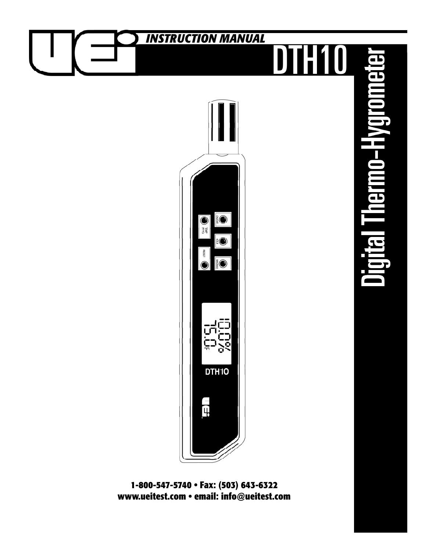

**www.ueitest.com • email: info@ueitest.com**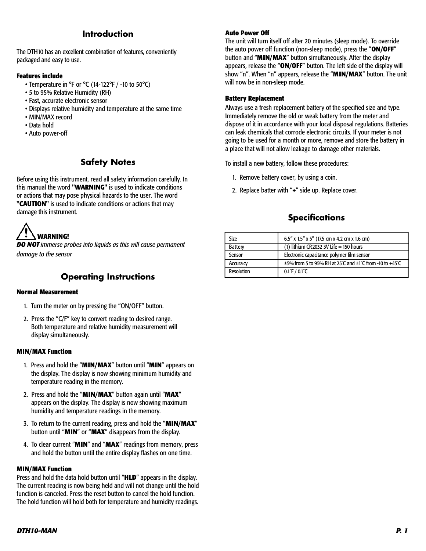# **Introduction**

The DTH10 has an excellent combination of features, conveniently packaged and easy to use.

#### **Features include**

- Temperature in °F or °C (14-122°F / -10 to 50°C)
- 5 to 95% Relative Humidity (RH)
- Fast, accurate electronic sensor
- Displays relative humidity and temperature at the same time
- MIN/MAX record
- Data hold
- Auto power-off

# **Safety Notes**

Before using this instrument, read all safety information carefully. In this manual the word **"WARNING"** is used to indicate conditions or actions that may pose physical hazards to the user. The word **"CAUTION"** is used to indicate conditions or actions that may damage this instrument.



*DO NOT immerse probes into liquids as this will cause permanent damage to the sensor*

### **Operating Instructions**

#### **Normal Measurement**

- 1. Turn the meter on by pressing the "ON/OFF" button.
- 2. Press the "C/F" key to convert reading to desired range. Both temperature and relative humidity measurement will display simultaneously.

#### **MIN/MAX Function**

- 1. Press and hold the "**MIN/MAX**" button until "**MIN**" appears on the display. The display is now showing minimum humidity and temperature reading in the memory.
- 2. Press and hold the "**MIN/MAX**" button again until "**MAX**" appears on the display. The display is now showing maximum humidity and temperature readings in the memory.
- 3. To return to the current reading, press and hold the "**MIN/MAX**" button until "**MIN**" or "**MAX**" disappears from the display.
- 4. To clear current "**MIN**" and "**MAX**" readings from memory, press and hold the button until the entire display flashes on one time.

#### **MIN/MAX Function**

Press and hold the data hold button until "**HLD**" appears in the display. The current reading is now being held and will not change until the hold function is canceled. Press the reset button to cancel the hold function. The hold function will hold both for temperature and humidity readings.

#### **Auto Power Off**

The unit will turn itself off after 20 minutes (sleep mode). To override the auto power off function (non-sleep mode), press the "**ON/OFF**" button and "**MIN/MAX**" button simultaneously. After the display appears, release the "**ON/OFF**" button. The left side of the display will show "n". When "n" appears, release the "**MIN/MAX**" button. The unit will now be in non-sleep mode.

#### **Battery Replacement**

Always use a fresh replacement battery of the specified size and type. Immediately remove the old or weak battery from the meter and dispose of it in accordance with your local disposal regulations. Batteries can leak chemicals that corrode electronic circuits. If your meter is not going to be used for a month or more, remove and store the battery in a place that will not allow leakage to damage other materials.

To install a new battery, follow these procedures:

- 1. Remove battery cover, by using a coin.
- 2. Replace batter with "**+**" side up. Replace cover.

# **Specifications**

| Size              | $6.5''$ x 1.5" x 5" (17.5 cm x 4.2 cm x 1.6 cm)                   |
|-------------------|-------------------------------------------------------------------|
| <b>Battery</b>    | $(1)$ lithium CR 2032 3V Life = 150 hours                         |
| Sensor            | Electronic capacitance polymer film sensor                        |
| Accura cy         | $\pm$ 5% from 5 to 95% RH at 25°C and $\pm$ 1°C from -10 to +45°C |
| <b>Resolution</b> | $0.1^{\circ}$ F / $0.1^{\circ}$ C                                 |